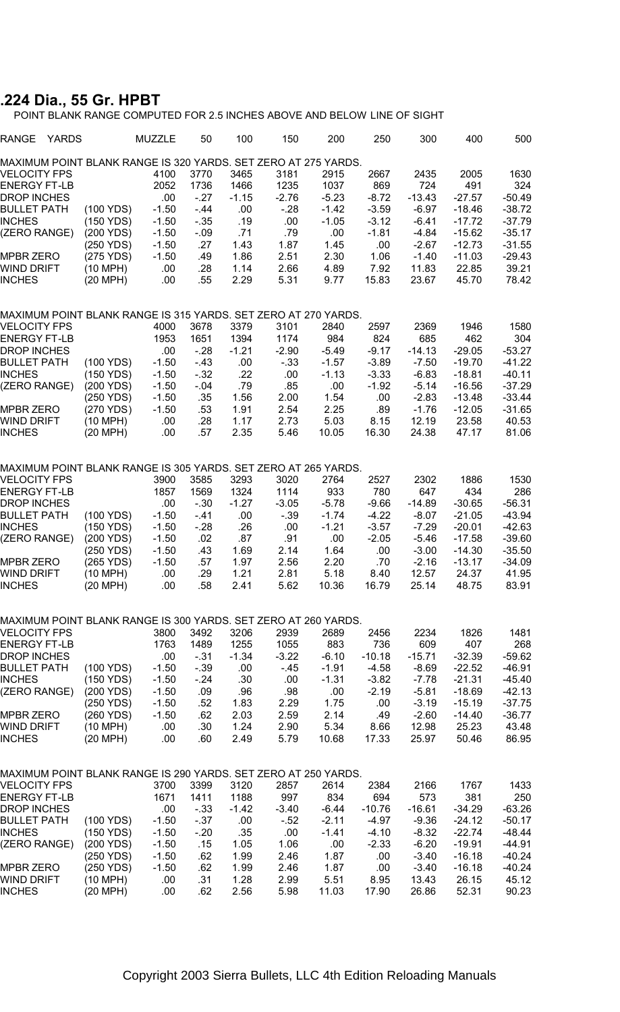## **.224 Dia., 55 Gr. HPBT**

POINT BLANK RANGE COMPUTED FOR 2.5 INCHES ABOVE AND BELOW LINE OF SIGHT

| RANGE<br>YARDS                                                 |                        | MUZZLE             | 50             | 100             | 150              | 200                | 250                | 300                 | 400                  | 500                  |
|----------------------------------------------------------------|------------------------|--------------------|----------------|-----------------|------------------|--------------------|--------------------|---------------------|----------------------|----------------------|
| MAXIMUM POINT BLANK RANGE IS 320 YARDS. SET ZERO AT 275 YARDS. |                        |                    |                |                 |                  |                    |                    |                     |                      |                      |
| VELOCITY FPS                                                   |                        | 4100               | 3770           | 3465            | 3181             | 2915               | 2667               | 2435                | 2005                 | 1630                 |
| <b>ENERGY FT-LB</b>                                            |                        | 2052               | 1736           | 1466            | 1235             | 1037               | 869                | 724                 | 491                  | 324                  |
| <b>DROP INCHES</b>                                             |                        | .00                | $-27$          | $-1.15$         | $-2.76$<br>$-28$ | $-5.23$            | $-8.72$            | $-13.43$<br>$-6.97$ | $-27.57$<br>$-18.46$ | $-50.49$<br>$-38.72$ |
| <b>BULLET PATH</b><br><b>INCHES</b>                            | (100 YDS)<br>(150 YDS) | $-1.50$<br>$-1.50$ | $-44$<br>$-35$ | .00<br>.19      | .00              | $-1.42$<br>$-1.05$ | $-3.59$<br>$-3.12$ | $-6.41$             | $-17.72$             | $-37.79$             |
| (ZERO RANGE)                                                   | (200 YDS)              | $-1.50$            | $-0.09$        | .71             | .79              | .00                | $-1.81$            | $-4.84$             | $-15.62$             | $-35.17$             |
|                                                                | (250 YDS)              | $-1.50$            | .27            | 1.43            | 1.87             | 1.45               | .00                | $-2.67$             | $-12.73$             | $-31.55$             |
| MPBR ZERO                                                      | (275 YDS)              | $-1.50$            | .49            | 1.86            | 2.51             | 2.30               | 1.06               | $-1.40$             | $-11.03$             | $-29.43$             |
| WIND DRIFT                                                     | (10 MPH)               | .00                | .28            | 1.14            | 2.66             | 4.89               | 7.92               | 11.83               | 22.85                | 39.21                |
| <b>INCHES</b>                                                  | (20 MPH)               | .00                | .55            | 2.29            | 5.31             | 9.77               | 15.83              | 23.67               | 45.70                | 78.42                |
| MAXIMUM POINT BLANK RANGE IS 315 YARDS. SET ZERO AT 270 YARDS. |                        |                    |                |                 |                  |                    |                    |                     |                      |                      |
| VELOCITY FPS                                                   |                        | 4000               | 3678           | 3379            | 3101             | 2840               | 2597               | 2369                | 1946                 | 1580                 |
| <b>ENERGY FT-LB</b>                                            |                        | 1953               | 1651           | 1394            | 1174             | 984                | 824                | 685                 | 462                  | 304                  |
| DROP INCHES                                                    |                        | .00                | $-28$          | $-1.21$         | $-2.90$          | $-5.49$            | $-9.17$            | $-14.13$            | $-29.05$             | $-53.27$             |
| <b>BULLET PATH</b>                                             | (100 YDS)              | $-1.50$            | $-43$          | .00             | $-33$            | $-1.57$            | $-3.89$            | $-7.50$             | $-19.70$             | $-41.22$             |
| <b>INCHES</b>                                                  | (150 YDS)              | $-1.50$            | $-32$          | .22             | .00              | $-1.13$            | $-3.33$            | $-6.83$             | $-18.81$             | $-40.11$             |
| (ZERO RANGE)                                                   | (200 YDS)<br>(250 YDS) | $-1.50$<br>$-1.50$ | $-.04$<br>.35  | .79<br>1.56     | .85<br>2.00      | .00<br>1.54        | $-1.92$<br>.00     | $-5.14$<br>$-2.83$  | $-16.56$<br>$-13.48$ | $-37.29$<br>$-33.44$ |
| MPBR ZERO                                                      | (270 YDS)              | $-1.50$            | .53            | 1.91            | 2.54             | 2.25               | .89                | $-1.76$             | $-12.05$             | $-31.65$             |
| WIND DRIFT                                                     | (10 MPH)               | .00                | .28            | 1.17            | 2.73             | 5.03               | 8.15               | 12.19               | 23.58                | 40.53                |
| <b>INCHES</b>                                                  | (20 MPH)               | .00                | .57            | 2.35            | 5.46             | 10.05              | 16.30              | 24.38               | 47.17                | 81.06                |
|                                                                |                        |                    |                |                 |                  |                    |                    |                     |                      |                      |
| MAXIMUM POINT BLANK RANGE IS 305 YARDS. SET ZERO AT 265 YARDS. |                        |                    |                |                 |                  |                    |                    |                     |                      |                      |
| <b>VELOCITY FPS</b><br><b>ENERGY FT-LB</b>                     |                        | 3900<br>1857       | 3585<br>1569   | 3293<br>1324    | 3020<br>1114     | 2764<br>933        | 2527<br>780        | 2302                | 1886<br>434          | 1530<br>286          |
| DROP INCHES                                                    |                        | .00                | $-30$          | $-1.27$         | $-3.05$          | $-5.78$            | $-9.66$            | 647<br>$-14.89$     | $-30.65$             | $-56.31$             |
| <b>BULLET PATH</b>                                             | (100 YDS)              | $-1.50$            | $-41$          | .00.            | $-39$            | $-1.74$            | $-4.22$            | $-8.07$             | $-21.05$             | $-43.94$             |
| <b>INCHES</b>                                                  | (150 YDS)              | $-1.50$            | - 28           | .26             | .00              | $-1.21$            | $-3.57$            | $-7.29$             | $-20.01$             | $-42.63$             |
| (ZERO RANGE)                                                   | (200 YDS)              | $-1.50$            | .02            | .87             | .91              | .00.               | $-2.05$            | $-5.46$             | $-17.58$             | $-39.60$             |
|                                                                | (250 YDS)              | $-1.50$            | .43            | 1.69            | 2.14             | 1.64               | .00                | $-3.00$             | $-14.30$             | $-35.50$             |
| MPBR ZERO                                                      | (265 YDS)              | $-1.50$            | .57            | 1.97            | 2.56             | 2.20               | .70                | $-2.16$             | $-13.17$             | $-34.09$             |
| WIND DRIFT                                                     | (10 MPH)               | .00                | .29            | 1.21            | 2.81             | 5.18               | 8.40               | 12.57               | 24.37                | 41.95                |
| <b>INCHES</b>                                                  | (20 MPH)               | .00                | .58            | 2.41            | 5.62             | 10.36              | 16.79              | 25.14               | 48.75                | 83.91                |
| MAXIMUM POINT BLANK RANGE IS 300 YARDS. SET ZERO AT 260 YARDS. |                        |                    |                |                 |                  |                    |                    |                     |                      |                      |
| <b>VELOCITY FPS</b>                                            |                        | 3800               | 3492           | 3206            | 2939             | 2689               | 2456               | 2234                | 1826                 | 1481                 |
| <b>ENERGY FT-LB</b>                                            |                        | 1763               | 1489           | 1255            | 1055             | 883                | 736                | 609                 | 407                  | 268                  |
| <b>DROP INCHES</b>                                             |                        | .00                | $-31$          | $-1.34$         | $-3.22$          | $-6.10$            | $-10.18$           | $-15.71$            | $-32.39$             | $-59.62$             |
| <b>BULLET PATH</b>                                             | (100 YDS)              | $-1.50$            | $-39$          | .00             | $-45$            | $-1.91$            | $-4.58$            | $-8.69$             | $-22.52$             | $-46.91$             |
| <b>INCHES</b>                                                  | (150 YDS)              | $-1.50$            | - 24           | .30             | .00              | $-1.31$            | $-3.82$            | $-7.78$             | $-21.31$             | -45.40               |
| (ZERO RANGE)                                                   | (200 YDS)<br>(250 YDS) | $-1.50$<br>$-1.50$ | .09<br>.52     | .96<br>1.83     | .98<br>2.29      | .00<br>1.75        | $-2.19$<br>.00     | $-5.81$<br>$-3.19$  | $-18.69$<br>$-15.19$ | $-42.13$<br>-37.75   |
| MPBR ZERO                                                      | (260 YDS)              | $-1.50$            | .62            | 2.03            | 2.59             | 2.14               | .49                | $-2.60$             | $-14.40$             | $-36.77$             |
| WIND DRIFT                                                     | (10 MPH)               | .00                | .30            | 1.24            | 2.90             | 5.34               | 8.66               | 12.98               | 25.23                | 43.48                |
| <b>INCHES</b>                                                  | (20 MPH)               | .00                | .60            | 2.49            | 5.79             | 10.68              | 17.33              | 25.97               | 50.46                | 86.95                |
|                                                                |                        |                    |                |                 |                  |                    |                    |                     |                      |                      |
| MAXIMUM POINT BLANK RANGE IS 290 YARDS. SET ZERO AT 250 YARDS. |                        |                    |                |                 |                  |                    |                    |                     |                      |                      |
| <b>VELOCITY FPS</b><br><b>ENERGY FT-LB</b>                     |                        | 3700               | 3399           | 3120            | 2857<br>997      | 2614               | 2384               | 2166                | 1767                 | 1433                 |
| DROP INCHES                                                    |                        | 1671<br>.00        | 1411<br>$-33$  | 1188<br>$-1.42$ | $-3.40$          | 834<br>$-6.44$     | 694<br>$-10.76$    | 573<br>$-16.61$     | 381<br>$-34.29$      | 250<br>-63.26        |
| <b>BULLET PATH</b>                                             | (100 YDS)              | $-1.50$            | $-37$          | .00             | $-52$            | $-2.11$            | -4.97              | $-9.36$             | $-24.12$             | -50.17               |
| INCHES                                                         | (150 YDS)              | $-1.50$            | $-20$          | .35             | .00              | $-1.41$            | $-4.10$            | $-8.32$             | $-22.74$             | -48.44               |
| (ZERO RANGE)                                                   | (200 YDS)              | $-1.50$            | .15            | 1.05            | 1.06             | .00                | $-2.33$            | $-6.20$             | $-19.91$             | $-44.91$             |
|                                                                | (250 YDS)              | $-1.50$            | .62            | 1.99            | 2.46             | 1.87               | .00                | $-3.40$             | $-16.18$             | -40.24               |
| <b>MPBR ZERO</b>                                               | (250 YDS)              | $-1.50$            | .62            | 1.99            | 2.46             | 1.87               | .00                | $-3.40$             | $-16.18$             | $-40.24$             |
| WIND DRIFT                                                     | (10 MPH)               | .00                | .31            | 1.28            | 2.99             | 5.51               | 8.95               | 13.43               | 26.15                | 45.12                |
| <b>INCHES</b>                                                  | (20 MPH)               | .00                | .62            | 2.56            | 5.98             | 11.03              | 17.90              | 26.86               | 52.31                | 90.23                |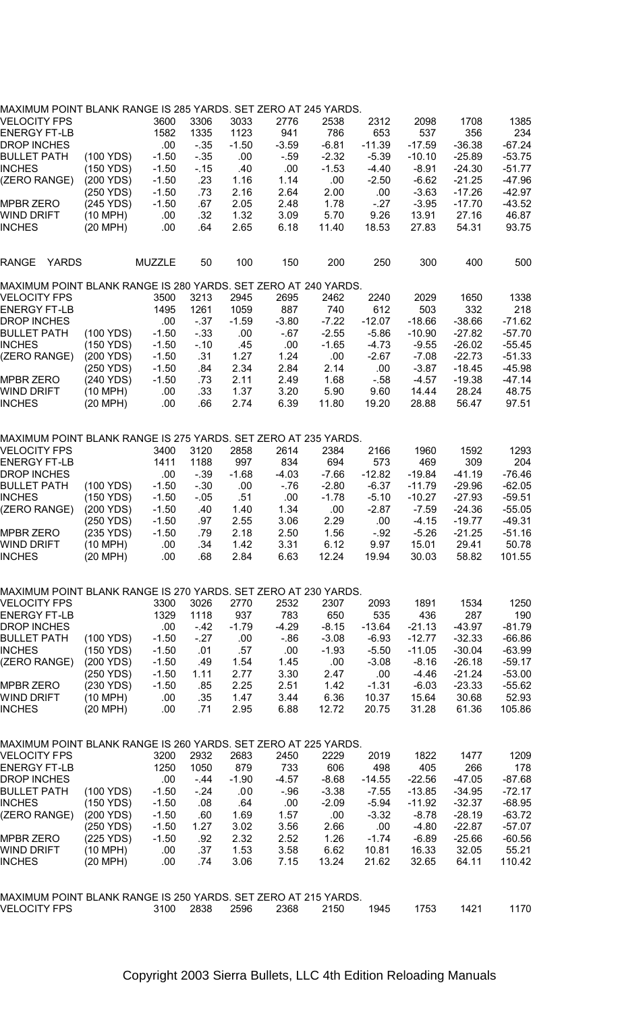| MAXIMUM POINT BLANK RANGE IS 285 YARDS. SET ZERO AT 245 YARDS. |            |         |         |         |         |         |          |          |          |          |
|----------------------------------------------------------------|------------|---------|---------|---------|---------|---------|----------|----------|----------|----------|
| VELOCITY FPS                                                   |            | 3600    | 3306    | 3033    | 2776    | 2538    | 2312     | 2098     | 1708     | 1385     |
| <b>ENERGY FT-LB</b>                                            |            | 1582    | 1335    | 1123    | 941     | 786     | 653      | 537      | 356      | 234      |
| <b>DROP INCHES</b>                                             |            | .00     | $-35$   | $-1.50$ | $-3.59$ | $-6.81$ | $-11.39$ | $-17.59$ | $-36.38$ | $-67.24$ |
| <b>BULLET PATH</b>                                             | (100 YDS)  | $-1.50$ | $-35$   | .00     | $-59$   | $-2.32$ | $-5.39$  | $-10.10$ | $-25.89$ | $-53.75$ |
| <b>INCHES</b>                                                  | (150 YDS)  | $-1.50$ | $-15$   | .40     | .00     | $-1.53$ | $-4.40$  | $-8.91$  | $-24.30$ | $-51.77$ |
|                                                                | (200 YDS)  | $-1.50$ | .23     | 1.16    | 1.14    | .00     |          | $-6.62$  | $-21.25$ | $-47.96$ |
| (ZERO RANGE)                                                   |            |         |         |         |         |         | $-2.50$  |          |          |          |
|                                                                | (250 YDS)  | $-1.50$ | .73     | 2.16    | 2.64    | 2.00    | .00      | $-3.63$  | $-17.26$ | $-42.97$ |
| MPBR ZERO                                                      | (245 YDS)  | $-1.50$ | .67     | 2.05    | 2.48    | 1.78    | $-27$    | $-3.95$  | $-17.70$ | $-43.52$ |
| WIND DRIFT                                                     | (10 MPH)   | .00     | .32     | 1.32    | 3.09    | 5.70    | 9.26     | 13.91    | 27.16    | 46.87    |
| <b>INCHES</b>                                                  | (20 MPH)   | .00     | .64     | 2.65    | 6.18    | 11.40   | 18.53    | 27.83    | 54.31    | 93.75    |
| RANGE<br>YARDS                                                 |            | MUZZLE  | 50      | 100     | 150     | 200     | 250      | 300      | 400      | 500      |
| MAXIMUM POINT BLANK RANGE IS 280 YARDS. SET ZERO AT 240 YARDS. |            |         |         |         |         |         |          |          |          |          |
| VELOCITY FPS                                                   |            | 3500    | 3213    | 2945    | 2695    | 2462    | 2240     | 2029     | 1650     | 1338     |
| <b>ENERGY FT-LB</b>                                            |            | 1495    | 1261    | 1059    | 887     | 740     | 612      | 503      | 332      | 218      |
| DROP INCHES                                                    |            | .00     | $-37$   | $-1.59$ | $-3.80$ | $-7.22$ | $-12.07$ | $-18.66$ | -38.66   | $-71.62$ |
| <b>BULLET PATH</b>                                             | (100 YDS)  | $-1.50$ | $-33$   | .00     | $-67$   | $-2.55$ | $-5.86$  | $-10.90$ | $-27.82$ | $-57.70$ |
| <b>INCHES</b>                                                  | (150 YDS)  | $-1.50$ | $-10$   | .45     | .00     | $-1.65$ | $-4.73$  | $-9.55$  | $-26.02$ | $-55.45$ |
| (ZERO RANGE)                                                   | (200 YDS)  | $-1.50$ | .31     | 1.27    | 1.24    | .00     | $-2.67$  | $-7.08$  | $-22.73$ | $-51.33$ |
|                                                                | (250 YDS)  | $-1.50$ | .84     | 2.34    | 2.84    | 2.14    | .00      | $-3.87$  | $-18.45$ | $-45.98$ |
| MPBR ZERO                                                      | (240 YDS)  | $-1.50$ | .73     | 2.11    | 2.49    | 1.68    | $-58$    | $-4.57$  | $-19.38$ | $-47.14$ |
| WIND DRIFT                                                     | (10 MPH)   | .00     | .33     | 1.37    | 3.20    | 5.90    | 9.60     | 14.44    | 28.24    | 48.75    |
| <b>INCHES</b>                                                  | (20 MPH)   | .00     | .66     | 2.74    | 6.39    | 11.80   | 19.20    | 28.88    | 56.47    | 97.51    |
|                                                                |            |         |         |         |         |         |          |          |          |          |
| MAXIMUM POINT BLANK RANGE IS 275 YARDS. SET ZERO AT 235 YARDS. |            |         |         |         |         |         |          |          |          |          |
| VELOCITY FPS                                                   |            | 3400    | 3120    | 2858    | 2614    | 2384    | 2166     | 1960     | 1592     | 1293     |
| <b>ENERGY FT-LB</b>                                            |            | 1411    | 1188    | 997     | 834     | 694     | 573      | 469      | 309      | 204      |
| DROP INCHES                                                    |            | .00     | $-39$   | $-1.68$ | $-4.03$ | $-7.66$ | $-12.82$ | -19.84   | -41.19   | $-76.46$ |
| <b>BULLET PATH</b>                                             | (100 YDS)  | $-1.50$ | $-30$   | .00     | $-76$   | $-2.80$ | $-6.37$  | $-11.79$ | $-29.96$ | $-62.05$ |
| <b>INCHES</b>                                                  | (150 YDS)  | $-1.50$ | $-0.05$ | .51     | .00     | $-1.78$ | $-5.10$  | $-10.27$ | $-27.93$ | $-59.51$ |
| (ZERO RANGE)                                                   | (200 YDS)  | $-1.50$ | .40     | 1.40    | 1.34    | .00     | $-2.87$  | $-7.59$  | $-24.36$ | $-55.05$ |
|                                                                | (250 YDS)  | $-1.50$ | .97     | 2.55    | 3.06    | 2.29    | .00      | $-4.15$  | $-19.77$ | $-49.31$ |
| MPBR ZERO                                                      | (235 YDS)  | $-1.50$ | .79     | 2.18    | 2.50    | 1.56    | $-.92$   | $-5.26$  | $-21.25$ | $-51.16$ |
| WIND DRIFT                                                     | (10 MPH)   | .00     | .34     | 1.42    | 3.31    | 6.12    | 9.97     | 15.01    | 29.41    | 50.78    |
| <b>INCHES</b>                                                  | (20 MPH)   | .00     | .68     | 2.84    | 6.63    | 12.24   | 19.94    | 30.03    | 58.82    | 101.55   |
|                                                                |            |         |         |         |         |         |          |          |          |          |
| MAXIMUM POINT BLANK RANGE IS 270 YARDS. SET ZERO AT 230 YARDS. |            |         |         |         |         |         |          |          |          |          |
| <b>VELOCITY FPS</b>                                            |            | 3300    | 3026    | 2770    | 2532    | 2307    | 2093     | 1891     | 1534     | 1250     |
| <b>ENERGY FT-LB</b>                                            |            | 1329    | 1118    | 937     | 783     | 650     | 535      | 436      | 287      | 190      |
| DROP INCHES                                                    |            | .00     | $-42$   | $-1.79$ | -4.29   | -8.15   | $-13.64$ | $-21.13$ | -43.97   | $-81.79$ |
| <b>BULLET PATH</b>                                             | (100 YDS)  | $-1.50$ | $-27$   | .00     | - 86    | $-3.08$ | $-6.93$  | $-12.77$ | $-32.33$ | $-66.86$ |
| <b>INCHES</b>                                                  | (150 YDS)  | $-1.50$ | .01     | .57     | .00     | $-1.93$ | $-5.50$  | $-11.05$ | $-30.04$ | $-63.99$ |
| (ZERO RANGE)                                                   | (200 YDS)  | $-1.50$ | .49     | 1.54    | 1.45    | .00.    | $-3.08$  | $-8.16$  | $-26.18$ | $-59.17$ |
|                                                                | (250 YDS)  | $-1.50$ | 1.11    | 2.77    | 3.30    | 2.47    | .00      | $-4.46$  | $-21.24$ | $-53.00$ |
| MPBR ZERO                                                      | (230 YDS)  | $-1.50$ | .85     | 2.25    | 2.51    | 1.42    | $-1.31$  | $-6.03$  | $-23.33$ | $-55.62$ |
| WIND DRIFT                                                     | (10 MPH)   | .00     | .35     | 1.47    | 3.44    | 6.36    | 10.37    | 15.64    | 30.68    | 52.93    |
| <b>INCHES</b>                                                  | (20 MPH)   | .00     | .71     | 2.95    | 6.88    | 12.72   | 20.75    | 31.28    | 61.36    | 105.86   |
|                                                                |            |         |         |         |         |         |          |          |          |          |
| MAXIMUM POINT BLANK RANGE IS 260 YARDS. SET ZERO AT 225 YARDS. |            |         |         |         |         |         |          |          |          |          |
| VELOCITY FPS                                                   |            | 3200    | 2932    | 2683    | 2450    | 2229    | 2019     | 1822     | 1477     | 1209     |
| <b>ENERGY FT-LB</b>                                            |            | 1250    | 1050    | 879     | 733     | 606     | 498      | 405      | 266      | 178      |
| <b>DROP INCHES</b>                                             |            | .00     | $-44$   | $-1.90$ | -4.57   | $-8.68$ | $-14.55$ | $-22.56$ | -47.05   | -87.68   |
| <b>BULLET PATH</b>                                             | (100 YDS)  | $-1.50$ | $-24$   | .00     | $-96$   | $-3.38$ | $-7.55$  | $-13.85$ | $-34.95$ | -72.17   |
| <b>INCHES</b>                                                  | (150 YDS)  | $-1.50$ | .08     | .64     | .00     | -2.09   | $-5.94$  | $-11.92$ | $-32.37$ | $-68.95$ |
| (ZERO RANGE)                                                   | (200 YDS)  | $-1.50$ | .60     | 1.69    | 1.57    | .00     | $-3.32$  | $-8.78$  | $-28.19$ | $-63.72$ |
|                                                                | (250 YDS)  | $-1.50$ | 1.27    | 3.02    | 3.56    | 2.66    | .00      | $-4.80$  | $-22.87$ | -57.07   |
| MPBR ZERO                                                      | (225 YDS)  | $-1.50$ | .92     | 2.32    | 2.52    | 1.26    | $-1.74$  | $-6.89$  | $-25.66$ | $-60.56$ |
| WIND DRIFT                                                     | $(10$ MPH) | .00     | .37     | 1.53    | 3.58    | 6.62    | 10.81    | 16.33    | 32.05    | 55.21    |
| <b>INCHES</b>                                                  | (20 MPH)   | .00     | .74     | 3.06    | 7.15    | 13.24   | 21.62    | 32.65    | 64.11    | 110.42   |
|                                                                |            |         |         |         |         |         |          |          |          |          |
| MAXIMUM POINT BLANK RANGE IS 250 YARDS. SET ZERO AT 215 YARDS. |            |         |         |         |         |         |          |          |          |          |
| <b>VELOCITY FPS</b>                                            |            | 3100    | 2838    | 2596    | 2368    | 2150    | 1945     | 1753     | 1421     | 1170     |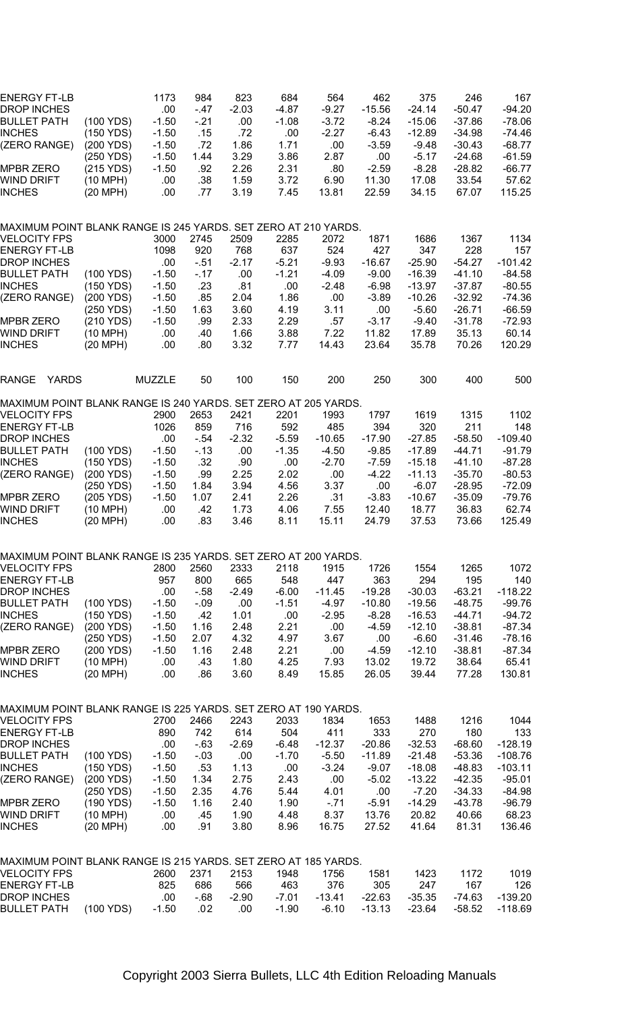| <b>ENERGY FT-LB</b><br>DROP INCHES<br>BULLET PATH<br>INCHES<br>(ZERO RANGE)           | (100 YDS)<br>(150 YDS)<br>(200 YDS)<br>(250 YDS) | 1173<br>.00<br>$-1.50$<br>$-1.50$<br>-1.50<br>$-1.50$ | 984<br>- 47<br>- 21<br>.15<br>.72<br>1.44 | 823<br>$-2.03$<br>.00<br>.72<br>1.86<br>3.29 | 684<br>-4.87<br>-1.08<br>.00.<br>1.71<br>3.86 | 564<br>$-9.27$<br>$-3.72$<br>$-2.27$<br>.00<br>2.87 | 462<br>$-15.56$<br>-8.24<br>-6.43<br>$-3.59$<br>.00 | 375<br>-24.14<br>$-15.06$<br>$-12.89$<br>$-9.48$<br>$-5.17$ | 246<br>-50.47<br>$-37.86$<br>-34.98<br>$-30.43$<br>$-24.68$ | 167<br>-94.20<br>-78.06<br>-74.46<br>$-68.77$<br>$-61.59$ |
|---------------------------------------------------------------------------------------|--------------------------------------------------|-------------------------------------------------------|-------------------------------------------|----------------------------------------------|-----------------------------------------------|-----------------------------------------------------|-----------------------------------------------------|-------------------------------------------------------------|-------------------------------------------------------------|-----------------------------------------------------------|
| MPBR ZERO<br>WIND DRIFT<br>INCHES                                                     | (215 YDS)<br>(10 MPH)<br>(20 MPH)                | -1.50<br>.00<br>.00                                   | .92<br>.38<br>.77                         | 2.26<br>1.59<br>3.19                         | 2.31<br>3.72<br>7.45                          | .80<br>6.90<br>13.81                                | $-2.59$<br>11.30<br>22.59                           | $-8.28$<br>17.08<br>34.15                                   | $-28.82$<br>33.54<br>67.07                                  | $-66.77$<br>57.62<br>115.25                               |
| MAXIMUM POINT BLANK RANGE IS 245 YARDS. SET ZERO AT 210 YARDS.                        |                                                  |                                                       |                                           |                                              |                                               |                                                     |                                                     |                                                             |                                                             |                                                           |
| VELOCITY FPS<br><b>ENERGY FT-LB</b>                                                   |                                                  | 3000<br>1098                                          | 2745<br>920                               | 2509<br>768                                  | 2285<br>637                                   | 2072<br>524                                         | 1871<br>427                                         | 1686<br>347                                                 | 1367<br>228                                                 | 1134<br>157                                               |
| <b>DROP INCHES</b>                                                                    |                                                  | .00.                                                  | - 51                                      | $-2.17$                                      | $-5.21$                                       | $-9.93$                                             | $-16.67$                                            | $-25.90$                                                    | $-54.27$                                                    | $-101.42$                                                 |
| BULLET PATH<br>INCHES                                                                 | (100 YDS)<br>(150 YDS)                           | -1.50<br>$-1.50$                                      | $-17$<br>.23                              | .00<br>.81                                   | $-1.21$<br>.00                                | -4.09<br>$-2.48$                                    | $-9.00$<br>$-6.98$                                  | $-16.39$<br>$-13.97$                                        | -41.10<br>-37.87                                            | $-84.58$<br>$-80.55$                                      |
| (ZERO RANGE)                                                                          | (200 YDS)                                        | $-1.50$                                               | .85                                       | 2.04                                         | 1.86                                          | .00                                                 | $-3.89$                                             | $-10.26$                                                    | -32.92                                                      | -74.36                                                    |
|                                                                                       | (250 YDS)                                        | $-1.50$                                               | 1.63                                      | 3.60                                         | 4.19                                          | 3.11                                                | .00                                                 | $-5.60$                                                     | -26.71                                                      | -66.59                                                    |
| MPBR ZERO<br>WIND DRIFT                                                               | (210 YDS)<br>(10 MPH)                            | $-1.50$<br>.00                                        | .99<br>.40                                | 2.33<br>1.66                                 | 2.29<br>3.88                                  | .57<br>7.22                                         | $-3.17$<br>11.82                                    | $-9.40$<br>17.89                                            | $-31.78$<br>35.13                                           | $-72.93$<br>60.14                                         |
| <b>INCHES</b>                                                                         | (20 MPH)                                         | .00                                                   | .80                                       | 3.32                                         | 7.77                                          | 14.43                                               | 23.64                                               | 35.78                                                       | 70.26                                                       | 120.29                                                    |
| <b>YARDS</b><br>RANGE                                                                 |                                                  | <b>MUZZLE</b>                                         | 50                                        | 100                                          | 150                                           | 200                                                 | 250                                                 | 300                                                         | 400                                                         | 500                                                       |
| MAXIMUM POINT BLANK RANGE IS 240 YARDS. SET ZERO AT 205 YARDS.                        |                                                  |                                                       |                                           |                                              |                                               |                                                     |                                                     |                                                             |                                                             |                                                           |
| VELOCITY FPS                                                                          |                                                  | 2900                                                  | 2653                                      | 2421                                         | 2201                                          | 1993                                                | 1797                                                | 1619                                                        | 1315                                                        | 1102                                                      |
| ENERGY FT-LB<br><b>DROP INCHES</b>                                                    |                                                  | 1026<br>.00.                                          | 859<br>- 54                               | 716<br>$-2.32$                               | 592<br>$-5.59$                                | 485<br>$-10.65$                                     | 394<br>$-17.90$                                     | 320<br>$-27.85$                                             | 211<br>$-58.50$                                             | 148<br>$-109.40$                                          |
| <b>BULLET PATH</b>                                                                    | (100 YDS)                                        | $-1.50$                                               | $-13$                                     | .00                                          | -1.35                                         | $-4.50$                                             | -9.85                                               | $-17.89$                                                    | -44.71                                                      | $-91.79$                                                  |
| INCHES<br>(ZERO RANGE)                                                                | (150 YDS)<br>(200 YDS)                           | $-1.50$<br>$-1.50$                                    | .32<br>.99                                | .90<br>2.25                                  | .00<br>2.02                                   | $-2.70$<br>.00                                      | $-7.59$<br>-4.22                                    | $-15.18$<br>$-11.13$                                        | -41.10<br>$-35.70$                                          | $-87.28$<br>-80.53                                        |
|                                                                                       | (250 YDS)                                        | $-1.50$                                               | 1.84                                      | 3.94                                         | 4.56                                          | 3.37                                                | .00                                                 | $-6.07$                                                     | $-28.95$                                                    | $-72.09$                                                  |
| MPBR ZERO                                                                             | (205 YDS)                                        | $-1.50$                                               | 1.07                                      | 2.41                                         | 2.26                                          | .31                                                 | $-3.83$                                             | $-10.67$                                                    | $-35.09$                                                    | $-79.76$                                                  |
| WIND DRIFT<br>INCHES                                                                  | (10 MPH)<br>(20 MPH)                             | .00<br>.00                                            | .42<br>.83                                | 1.73<br>3.46                                 | 4.06<br>8.11                                  | 7.55<br>15.11                                       | 12.40<br>24.79                                      | 18.77<br>37.53                                              | 36.83<br>73.66                                              | 62.74<br>125.49                                           |
|                                                                                       |                                                  |                                                       |                                           |                                              |                                               |                                                     |                                                     |                                                             |                                                             |                                                           |
| MAXIMUM POINT BLANK RANGE IS 235 YARDS. SET ZERO AT 200 YARDS.<br><b>VELOCITY FPS</b> |                                                  | 2800                                                  | 2560                                      | 2333                                         | 2118                                          | 1915                                                | 1726                                                | 1554                                                        | 1265                                                        | 1072                                                      |
| ENERGY FT-LB                                                                          |                                                  | 957                                                   | 800                                       | 665                                          | 548                                           | 447                                                 | 363                                                 | 294                                                         | 195                                                         | 140                                                       |
| DROP INCHES                                                                           |                                                  | .00.                                                  | - 58                                      | $-2.49$                                      | $-6.00$                                       | $-11.45$                                            | $-19.28$                                            | $-30.03$                                                    | $-63.21$                                                    | $-118.22$                                                 |
| BULLET PATH<br>INCHES                                                                 | (100 YDS)<br>(150 YDS)                           | $-1.50$<br>$-1.50$                                    | $-0.9$<br>.42                             | .00<br>1.01                                  | $-1.51$<br>.00                                | $-4.97$<br>$-2.95$                                  | $-10.80$<br>$-8.28$                                 | $-19.56$<br>$-16.53$                                        | $-48.75$<br>$-44.71$                                        | $-99.76$<br>$-94.72$                                      |
| (ZERO RANGE)                                                                          | (200 YDS)                                        | $-1.50$                                               | 1.16                                      | 2.48                                         | 2.21                                          | .00                                                 | $-4.59$                                             | $-12.10$                                                    | -38.81                                                      | -87.34                                                    |
|                                                                                       | (250 YDS)                                        | $-1.50$                                               | 2.07                                      | 4.32                                         | 4.97                                          | 3.67                                                | .00                                                 | $-6.60$                                                     | -31.46                                                      | $-78.16$                                                  |
| MPBR ZERO<br>WIND DRIFT                                                               | (200 YDS)<br>(10 MPH)                            | $-1.50$<br>.00                                        | 1.16<br>.43                               | 2.48<br>1.80                                 | 2.21<br>4.25                                  | .00<br>7.93                                         | -4.59<br>13.02                                      | $-12.10$<br>19.72                                           | -38.81<br>38.64                                             | -87.34<br>65.41                                           |
| <b>INCHES</b>                                                                         | $(20$ MPH)                                       | .00                                                   | .86                                       | 3.60                                         | 8.49                                          | 15.85                                               | 26.05                                               | 39.44                                                       | 77.28                                                       | 130.81                                                    |
| MAXIMUM POINT BLANK RANGE IS 225 YARDS. SET ZERO AT 190 YARDS.                        |                                                  |                                                       |                                           |                                              |                                               |                                                     |                                                     |                                                             |                                                             |                                                           |
| VELOCITY FPS                                                                          |                                                  | 2700                                                  | 2466                                      | 2243                                         | 2033                                          | 1834                                                | 1653                                                | 1488                                                        | 1216                                                        | 1044                                                      |
| ENERGY FT-LB                                                                          |                                                  | 890                                                   | 742                                       | 614                                          | 504                                           | 411                                                 | 333                                                 | 270                                                         | 180                                                         | 133                                                       |
| DROP INCHES<br>BULLET PATH                                                            | (100 YDS)                                        | .00<br>$-1.50$                                        | $-63$<br>$-0.03$                          | $-2.69$<br>.00                               | $-6.48$<br>$-1.70$                            | $-12.37$<br>$-5.50$                                 | $-20.86$<br>$-11.89$                                | $-32.53$<br>$-21.48$                                        | $-68.60$<br>$-53.36$                                        | $-128.19$<br>$-108.76$                                    |
| INCHES                                                                                | (150 YDS)                                        | $-1.50$                                               | .53                                       | 1.13                                         | .00                                           | $-3.24$                                             | $-9.07$                                             | $-18.08$                                                    | -48.83                                                      | $-103.11$                                                 |
| (ZERO RANGE)                                                                          | (200 YDS)                                        | $-1.50$                                               | 1.34                                      | 2.75                                         | 2.43                                          | .00                                                 | $-5.02$                                             | $-13.22$                                                    | -42.35                                                      | $-95.01$                                                  |
| <b>MPBR ZERO</b>                                                                      | (250 YDS)<br>(190 YDS)                           | $-1.50$<br>$-1.50$                                    | 2.35<br>1.16                              | 4.76<br>2.40                                 | 5.44<br>1.90                                  | 4.01<br>$-71$                                       | .00<br>$-5.91$                                      | $-7.20$<br>$-14.29$                                         | -34.33<br>-43.78                                            | $-84.98$<br>$-96.79$                                      |
| WIND DRIFT<br>INCHES                                                                  | (10 MPH)<br>(20 MPH)                             | .00<br>.00                                            | .45<br>.91                                | 1.90<br>3.80                                 | 4.48<br>8.96                                  | 8.37<br>16.75                                       | 13.76<br>27.52                                      | 20.82<br>41.64                                              | 40.66<br>81.31                                              | 68.23<br>136.46                                           |
|                                                                                       |                                                  |                                                       |                                           |                                              |                                               |                                                     |                                                     |                                                             |                                                             |                                                           |
| MAXIMUM POINT BLANK RANGE IS 215 YARDS. SET ZERO AT 185 YARDS.                        |                                                  |                                                       |                                           |                                              |                                               |                                                     |                                                     |                                                             |                                                             |                                                           |
| VELOCITY FPS<br>ENERGY FT-LB                                                          |                                                  | 2600<br>825                                           | 2371<br>686                               | 2153<br>566                                  | 1948<br>463                                   | 1756<br>376                                         | 1581<br>305                                         | 1423<br>247                                                 | 1172<br>167                                                 | 1019<br>126                                               |
| DROP INCHES                                                                           |                                                  | .00                                                   | - 68                                      | $-2.90$                                      | -7.01                                         | $-13.41$                                            | $-22.63$                                            | $-35.35$                                                    | $-74.63$                                                    | $-139.20$                                                 |
| BULLET PATH                                                                           | (100 YDS)                                        | $-1.50$                                               | .02                                       | .00                                          | $-1.90$                                       | $-6.10$                                             | $-13.13$                                            | $-23.64$                                                    | -58.52                                                      | $-118.69$                                                 |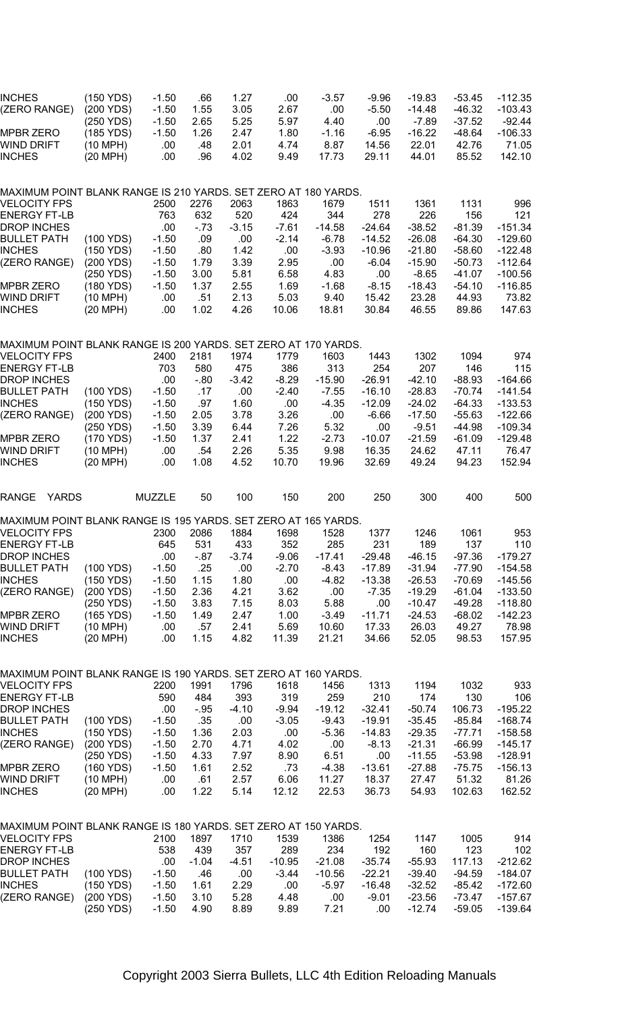| INCHES<br>(ZERO RANGE)                                                         | (150 YDS)<br>(200 YDS)                         | $-1.50$<br>$-1.50$               | .66<br>1.55                | 1.27<br>3.05                 | .00<br>2.67                  | $-3.57$<br>.00                   | $-9.96$<br>$-5.50$               | $-19.83$<br>$-14.48$                | $-53.45$<br>$-46.32$                   | $-112.35$<br>$-103.43$                   |
|--------------------------------------------------------------------------------|------------------------------------------------|----------------------------------|----------------------------|------------------------------|------------------------------|----------------------------------|----------------------------------|-------------------------------------|----------------------------------------|------------------------------------------|
| MPBR ZERO<br>WIND DRIFT<br><b>INCHES</b>                                       | (250 YDS)<br>(185 YDS)<br>(10 MPH)<br>(20 MPH) | $-1.50$<br>$-1.50$<br>.00<br>.00 | 2.65<br>1.26<br>.48<br>.96 | 5.25<br>2.47<br>2.01<br>4.02 | 5.97<br>1.80<br>4.74<br>9.49 | 4.40<br>$-1.16$<br>8.87<br>17.73 | .00<br>$-6.95$<br>14.56<br>29.11 | -7.89<br>$-16.22$<br>22.01<br>44.01 | $-37.52$<br>$-48.64$<br>42.76<br>85.52 | $-92.44$<br>$-106.33$<br>71.05<br>142.10 |
|                                                                                |                                                |                                  |                            |                              |                              |                                  |                                  |                                     |                                        |                                          |
| MAXIMUM POINT BLANK RANGE IS 210 YARDS. SET ZERO AT 180 YARDS.<br>VELOCITY FPS |                                                | 2500                             | 2276                       | 2063                         | 1863                         | 1679                             | 1511                             | 1361                                | 1131                                   | 996                                      |
| ENERGY FT-LB                                                                   |                                                | 763                              | 632                        | 520                          | 424                          | 344                              | 278                              | 226                                 | 156                                    | 121                                      |
| DROP INCHES<br>BULLET PATH                                                     | (100 YDS)                                      | .00<br>$-1.50$                   | $-73$<br>.09               | $-3.15$<br>.00               | $-7.61$<br>$-2.14$           | $-14.58$<br>$-6.78$              | $-24.64$                         | $-38.52$                            | $-81.39$<br>$-64.30$                   | $-151.34$<br>$-129.60$                   |
| INCHES                                                                         | (150 YDS)                                      | $-1.50$                          | .80                        | 1.42                         | .00                          | $-3.93$                          | $-14.52$<br>$-10.96$             | $-26.08$<br>$-21.80$                | $-58.60$                               | $-122.48$                                |
| (ZERO RANGE)                                                                   | (200 YDS)                                      | $-1.50$                          | 1.79                       | 3.39                         | 2.95                         | .00                              | $-6.04$                          | $-15.90$                            | $-50.73$                               | $-112.64$                                |
| MPBR ZERO                                                                      | (250 YDS)<br>(180 YDS)                         | $-1.50$<br>$-1.50$               | 3.00<br>1.37               | 5.81<br>2.55                 | 6.58<br>1.69                 | 4.83<br>$-1.68$                  | .00<br>$-8.15$                   | $-8.65$<br>$-18.43$                 | $-41.07$<br>$-54.10$                   | $-100.56$<br>$-116.85$                   |
| WIND DRIFT                                                                     | (10 MPH)                                       | .00                              | .51                        | 2.13                         | 5.03                         | 9.40                             | 15.42                            | 23.28                               | 44.93                                  | 73.82                                    |
| INCHES                                                                         | (20 MPH)                                       | .00                              | 1.02                       | 4.26                         | 10.06                        | 18.81                            | 30.84                            | 46.55                               | 89.86                                  | 147.63                                   |
| MAXIMUM POINT BLANK RANGE IS 200 YARDS. SET ZERO AT 170 YARDS.                 |                                                |                                  |                            |                              |                              |                                  |                                  |                                     |                                        |                                          |
| <b>VELOCITY FPS</b><br>ENERGY FT-LB                                            |                                                | 2400<br>703                      | 2181<br>580                | 1974<br>475                  | 1779<br>386                  | 1603<br>313                      | 1443<br>254                      | 1302<br>207                         | 1094<br>146                            | 974<br>115                               |
| DROP INCHES                                                                    |                                                | .00                              | $-80$                      | $-3.42$                      | $-8.29$                      | $-15.90$                         | $-26.91$                         | $-42.10$                            | $-88.93$                               | $-164.66$                                |
| BULLET PATH<br>INCHES                                                          | (100 YDS)<br>(150 YDS)                         | $-1.50$<br>$-1.50$               | .17<br>.97                 | .00<br>1.60                  | $-2.40$<br>.00               | $-7.55$<br>$-4.35$               | $-16.10$<br>$-12.09$             | $-28.83$<br>$-24.02$                | $-70.74$<br>$-64.33$                   | $-141.54$<br>$-133.53$                   |
| (ZERO RANGE)                                                                   | (200 YDS)                                      | $-1.50$                          | 2.05                       | 3.78                         | 3.26                         | .00                              | $-6.66$                          | $-17.50$                            | $-55.63$                               | $-122.66$                                |
|                                                                                | (250 YDS)                                      | $-1.50$                          | 3.39                       | 6.44                         | 7.26                         | 5.32                             | .00.                             | $-9.51$                             | -44.98                                 | $-109.34$                                |
| MPBR ZERO<br>WIND DRIFT                                                        | (170 YDS)<br>(10 MPH)                          | $-1.50$<br>.00                   | 1.37<br>.54                | 2.41<br>2.26                 | 1.22<br>5.35                 | $-2.73$<br>9.98                  | $-10.07$<br>16.35                | $-21.59$<br>24.62                   | $-61.09$<br>47.11                      | $-129.48$<br>76.47                       |
| INCHES                                                                         | (20 MPH)                                       | .00                              | 1.08                       | 4.52                         | 10.70                        | 19.96                            | 32.69                            | 49.24                               | 94.23                                  | 152.94                                   |
| <b>YARDS</b><br>RANGE                                                          |                                                | <b>MUZZLE</b>                    | 50                         | 100                          | 150                          | 200                              | 250                              | 300                                 | 400                                    | 500                                      |
| MAXIMUM POINT BLANK RANGE IS 195 YARDS. SET ZERO AT 165 YARDS.                 |                                                |                                  |                            |                              |                              |                                  |                                  |                                     |                                        |                                          |
| VELOCITY FPS<br>ENERGY FT-LB                                                   |                                                | 2300<br>645                      | 2086<br>531                | 1884<br>433                  | 1698<br>352                  | 1528<br>285                      | 1377<br>231                      | 1246<br>189                         | 1061<br>137                            | 953<br>110                               |
| DROP INCHES                                                                    |                                                | .00                              | $-87$                      | $-3.74$                      | $-9.06$                      | $-17.41$                         | $-29.48$                         | $-46.15$                            | $-97.36$                               | $-179.27$                                |
| BULLET PATH<br>INCHES                                                          | (100 YDS)<br>(150 YDS)                         | $-1.50$<br>$-1.50$               | .25<br>1.15                | .00<br>1.80                  | $-2.70$<br>.00.              | -8.43<br>$-4.82$                 | $-17.89$<br>$-13.38$             | -31.94<br>$-26.53$                  | $-77.90$<br>$-70.69$                   | $-154.58$<br>$-145.56$                   |
| (ZERO RANGE)                                                                   | (200 YDS)                                      | $-1.50$                          | 2.36                       | 4.21                         | 3.62                         | .00                              | $-7.35$                          | $-19.29$                            | $-61.04$                               | $-133.50$                                |
|                                                                                | (250 YDS)                                      | $-1.50$                          | 3.83                       | 7.15                         | 8.03                         | 5.88                             | .00.                             | $-10.47$                            | -49.28                                 | $-118.80$                                |
| MPBR ZERO<br>WIND DRIFT                                                        | (165 YDS)<br>(10 MPH)                          | $-1.50$<br>.00                   | 1.49<br>.57                | 2.47<br>2.41                 | 1.00<br>5.69                 | $-3.49$<br>10.60                 | $-11.71$<br>17.33                | $-24.53$<br>26.03                   | $-68.02$<br>49.27                      | $-142.23$<br>78.98                       |
| INCHES                                                                         | (20 MPH)                                       | .00                              | 1.15                       | 4.82                         | 11.39                        | 21.21                            | 34.66                            | 52.05                               | 98.53                                  | 157.95                                   |
| MAXIMUM POINT BLANK RANGE IS 190 YARDS. SET ZERO AT 160 YARDS.                 |                                                |                                  |                            |                              |                              |                                  |                                  |                                     |                                        |                                          |
| <b>VELOCITY FPS</b>                                                            |                                                | 2200                             | 1991                       | 1796                         | 1618                         | 1456                             | 1313                             | 1194                                | 1032                                   | 933                                      |
| <b>ENERGY FT-LB</b><br>DROP INCHES                                             |                                                | 590<br>.00                       | 484<br>$-95$               | 393<br>$-4.10$               | 319<br>$-9.94$               | 259<br>$-19.12$                  | 210<br>-32.41                    | 174<br>-50.74                       | 130<br>106.73                          | 106<br>$-195.22$                         |
| BULLET PATH                                                                    | (100 YDS)                                      | $-1.50$                          | .35                        | .00.                         | $-3.05$                      | $-9.43$                          | $-19.91$                         | $-35.45$                            | -85.84                                 | $-168.74$                                |
| INCHES<br>(ZERO RANGE)                                                         | (150 YDS)                                      | $-1.50$                          | 1.36                       | 2.03                         | .00                          | $-5.36$                          | $-14.83$<br>$-8.13$              | $-29.35$                            | $-77.71$<br>$-66.99$                   | $-158.58$<br>$-145.17$                   |
|                                                                                | (200 YDS)<br>(250 YDS)                         | $-1.50$<br>$-1.50$               | 2.70<br>4.33               | 4.71<br>7.97                 | 4.02<br>8.90                 | .00<br>6.51                      | .00                              | $-21.31$<br>$-11.55$                | $-53.98$                               | $-128.91$                                |
| MPBR ZERO                                                                      | (160 YDS)                                      | $-1.50$                          | 1.61                       | 2.52                         | .73                          | -4.38                            | $-13.61$                         | $-27.88$                            | $-75.75$                               | $-156.13$                                |
| WIND DRIFT<br><b>INCHES</b>                                                    | (10 MPH)<br>(20 MPH)                           | .00<br>.00                       | .61<br>1.22                | 2.57<br>5.14                 | 6.06<br>12.12                | 11.27<br>22.53                   | 18.37<br>36.73                   | 27.47<br>54.93                      | 51.32<br>102.63                        | 81.26<br>162.52                          |
| MAXIMUM POINT BLANK RANGE IS 180 YARDS. SET ZERO AT 150 YARDS.                 |                                                |                                  |                            |                              |                              |                                  |                                  |                                     |                                        |                                          |
| <b>VELOCITY FPS</b>                                                            |                                                | 2100                             | 1897                       | 1710                         | 1539                         | 1386                             | 1254                             | 1147                                | 1005                                   | 914                                      |
| ENERGY FT-LB                                                                   |                                                | 538                              | 439                        | 357                          | 289                          | 234                              | 192                              | 160                                 | 123                                    | 102                                      |
| DROP INCHES<br>BULLET PATH                                                     | (100 YDS)                                      | .00<br>$-1.50$                   | $-1.04$<br>.46             | $-4.51$<br>.00.              | $-10.95$<br>$-3.44$          | $-21.08$<br>$-10.56$             | $-35.74$<br>$-22.21$             | $-55.93$<br>$-39.40$                | 117.13<br>$-94.59$                     | $-212.62$<br>$-184.07$                   |
| <b>INCHES</b>                                                                  | (150 YDS)                                      | $-1.50$                          | 1.61                       | 2.29                         | .00                          | $-5.97$                          | $-16.48$                         | $-32.52$                            | -85.42                                 | $-172.60$                                |
| (ZERO RANGE)                                                                   | (200 YDS)<br>(250 YDS)                         | $-1.50$<br>$-1.50$               | 3.10<br>4.90               | 5.28<br>8.89                 | 4.48<br>9.89                 | .00<br>7.21                      | $-9.01$<br>.00                   | $-23.56$<br>$-12.74$                | $-73.47$<br>$-59.05$                   | $-157.67$<br>$-139.64$                   |
|                                                                                |                                                |                                  |                            |                              |                              |                                  |                                  |                                     |                                        |                                          |